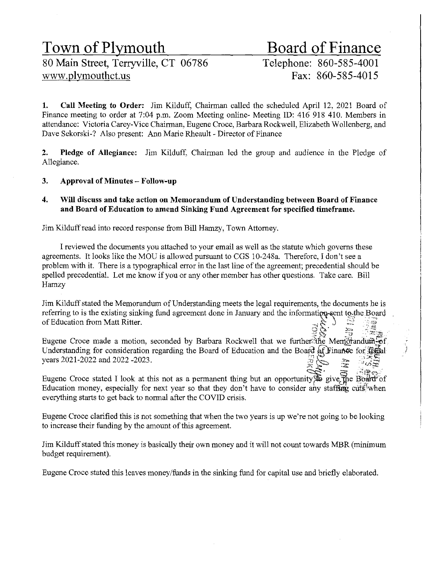# Town of Plymouth<br>80 Main Street, Terryville, CT 06786<br>Telephone: 860-585-4001

80 Main Street, Terryville, CT 06786 www.plymouthct.us Fax: 860-585-4015

1. Call Meeting to Order: Jim Kilduff, Chairman called the scheduled April 12, 2021 Board of Finance meeting to order at 7:04 p.m. Zoom Meeting online- Meeting ID: 416 918 410. Members in attendance: Victoria Carey-Vice Chairman, Eugene Croce, Barbara Rockwell, Elizabeth Wollenberg, and Dave Sekorski-? Also present: Ann Marie Rheault - Director of Finance

2. Pledge of Allegiance: Jim Kilduff, Chairman led the group and audience in the Pledge of Allegiance.

# 3. Approval of Minutes - Follow-up

4. Will discuss and take action on Memorandum of Understanding between Board of Finance and Board of Education to amend Sinking Fund Agreement for specified timeframe.

Jim Kilduff read into record response from Bill Hamzy, Town Attorney.

I reviewed the documents you attached to your email as well as the statute which governs these agreements. It looks like the MOU is allowed pursuant to CGS 10-248a. Therefore, I don't see a problem with it. There is a typographical error in the last line of the agreement; precedential should be spelled precedential. Let me know if you or any other member has other questions. Take care. Bill Hamzy

Jim Kilduff stated the Memorandum of Understanding meets the legal requirements, the documents he is referring to is the existing sinking fund agreement done in January and the information-sent to the Board of Education from Matt Ritter.

~~: ;~, *:\_·;:;1* .-- . ':;r.:: p Eugene Croce made a motion, seconded by Barbara Rockwell that we furthef;:'tl\e Merrt.Qj'andum-'Of Understanding for consideration regarding the Board of Education and the Board of Finance for fiscal years 2021-2022 and 2022 -2023.

Eugene Croce stated I look at this not as a permanent thing but an opportunity  $\mathbf{\hat{F}}$  give, the Board of Education money, especially for next year so that they don't have to consider any staffing cuts when everything starts to get back to normal after the COVID crisis.

Eugene Croce clarified this is not something that when the two years is up we're not going to be looking to increase their funding by the amount of this agreement.

Jim Kilduff stated this money is basically their own money and it will not count towards MBR (minimum budget requirement).

Eugene Croce stated this leaves money /funds in the sinking fund for capital use and briefly elaborated.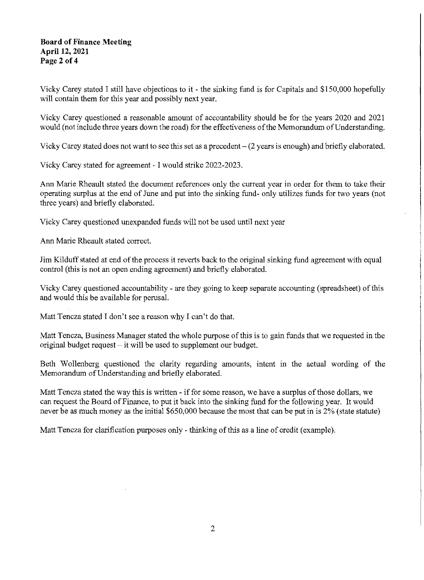### **Board of Finance Meeting April 12, 2021 Page 2 of 4**

Vicky Carey stated I still have objections to it - the sinking fund is for Capitals and \$150,000 hopefully will contain them for this year and possibly next year.

Vicky Carey questioned a reasonable amount of accountability should be for the years 2020 and 2021 would (not include three years down the road) for the effectiveness of the Memorandum of Understanding.

Vicky Carey stated does not want to see this set as a precedent- (2 years is enough) and briefly elaborated.

Vicky Carey stated for agreement - I would strike 2022-2023.

Ann Marie Rheault stated the document references only the current year in order for them to take their operating surplus at the end of June and put into the sinking fund- only utilizes funds for two years (not three years) and briefly elaborated.

Vicky Carey questioned unexpanded funds will not be used until next year

Ann Marie Rheault stated correct.

Jim Kilduff stated at end of the process it reverts back to the original sinking fund agreement with equal control (this is not an open ending agreement) and briefly elaborated.

Vicky Carey questioned accountability - are they going to keep separate accounting (spreadsheet) of this and would this be available for perusal.

Matt Tencza stated I don't see a reason why I can't do that.

Matt Tencza, Business Manager stated the whole purpose of this is to gain funds that we requested in the original budget request  $-$  it will be used to supplement our budget.

Beth Wollenberg questioned the clarity regarding amounts, intent in the actual wording of the Memorandum of Understanding and briefly elaborated.

Matt Tencza stated the way this is written - if for some reason, we have a surplus of those dollars, we can request the Board of Finance, to put it back into the sinking fund for the following year. It would never be as much money as the initial \$650,000 because the most that can be put in is 2% (state statute)

Matt Tencza for clarification purposes only - thinking of this as a line of credit (example).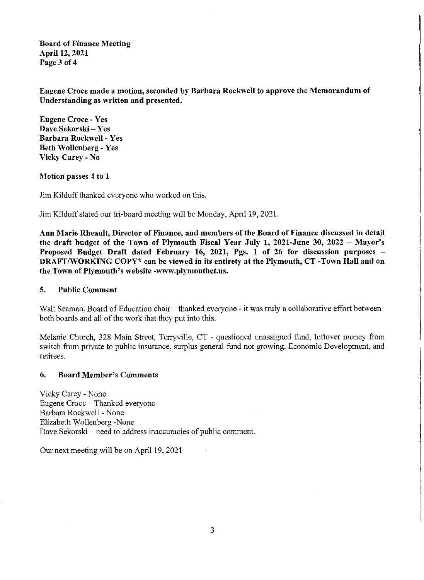Board of Finance Meeting April 12, 2021 Page 3 of 4

Engene Croce made a motion, seconded by Barbara Rockwell to approve the Memorandum of Understanding as written and presented.

Eugene Croce - Yes Dave Sekorski - Yes Barbara Rockwell - Yes Beth Wollenberg- Yes Vicky Carey- No

#### Motion passes 4 to 1

Jim Kilduff thanked everyone who worked on this.

Jim Kilduff stated our tri-board meeting will be Monday, April 19, 2021.

Ann Marie Rheault, Director of Finance, and members of the Board of Finance discussed in detail the draft budget of the Town of Plymouth Fiscal Year July 1, 2021-June 30, 2022 - Mayor's Proposed Budget Draft dated February 16, 2021, Pgs. 1 of 26 for discussion purposes DRAFT/WORKING COPY\* can be viewed in its entirety at the Plymouth, CT-Town Hall and on the Town of Plymouth's website -www.plymouthct.us.

#### 5. Public Comment

Walt Seaman, Board of Education chair - thanked everyone - it was truly a collaborative effort between both boards and all of the work that they put into this.

Melanie Church, 328 Main Street, Terryville, CT - questioned unassigned fund, leftover money from switch from private to public insurance, surplus general fund not growing, Economic Development, and retirees.

#### 6. Board Member's Comments

Vicky Carey - None Eugene Croce - Thanked everyone Barbara Rockwell - None Elizabeth Wollenberg-None Dave Sekorski – need to address inaccuracies of public comment.

Our next meeting will be on April 19, 2021